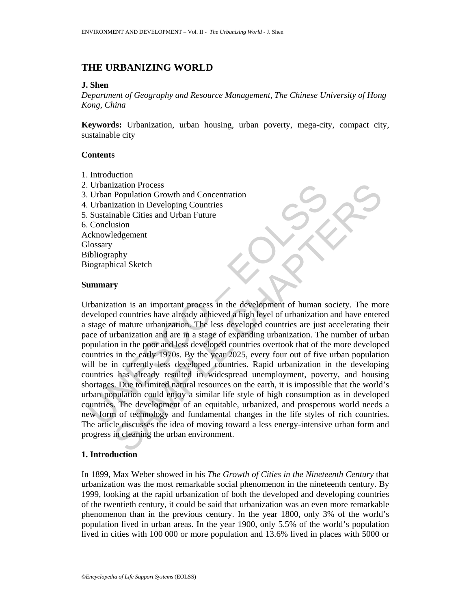# **THE URBANIZING WORLD**

# **J. Shen**

*Department of Geography and Resource Management, The Chinese University of Hong Kong, China* 

**Keywords:** Urbanization, urban housing, urban poverty, mega-city, compact city, sustainable city

# **Contents**

- 1. Introduction
- 2. Urbanization Process
- 3. Urban Population Growth and Concentration
- 4. Urbanization in Developing Countries
- 5. Sustainable Cities and Urban Future
- 6. Conclusion
- Acknowledgement

**Glossary** 

- Bibliography
- Biographical Sketch

### **Summary**

Urbanization Process<br>
Urbanization in Developing Countries<br>
Urbanization in Developing Countries<br>
Sustainable Cities and Urban Future<br>
Conclusion<br>
Conclusion<br>
Conclusion<br>
Urbanization is an important process in the develop ization Process<br>
Population Growth and Concentration<br>
Tradition in Developing Countries<br>
ization in Developing Countries<br>
mable Cities and Urban Future<br>
Ledgement<br>
Ledgement<br>
Ledgement<br>
Ledgement<br>
Statch<br>
Apply Py<br>
Ty<br>
Ty<br> Urbanization is an important process in the development of human society. The more developed countries have already achieved a high level of urbanization and have entered a stage of mature urbanization. The less developed countries are just accelerating their pace of urbanization and are in a stage of expanding urbanization. The number of urban population in the poor and less developed countries overtook that of the more developed countries in the early 1970s. By the year 2025, every four out of five urban population will be in currently less developed countries. Rapid urbanization in the developing countries has already resulted in widespread unemployment, poverty, and housing shortages. Due to limited natural resources on the earth, it is impossible that the world's urban population could enjoy a similar life style of high consumption as in developed countries. The development of an equitable, urbanized, and prosperous world needs a new form of technology and fundamental changes in the life styles of rich countries. The article discusses the idea of moving toward a less energy-intensive urban form and progress in cleaning the urban environment.

# **1. Introduction**

In 1899, Max Weber showed in his *The Growth of Cities in the Nineteenth Century* that urbanization was the most remarkable social phenomenon in the nineteenth century. By 1999, looking at the rapid urbanization of both the developed and developing countries of the twentieth century, it could be said that urbanization was an even more remarkable phenomenon than in the previous century. In the year 1800, only 3% of the world's population lived in urban areas. In the year 1900, only 5.5% of the world's population lived in cities with 100 000 or more population and 13.6% lived in places with 5000 or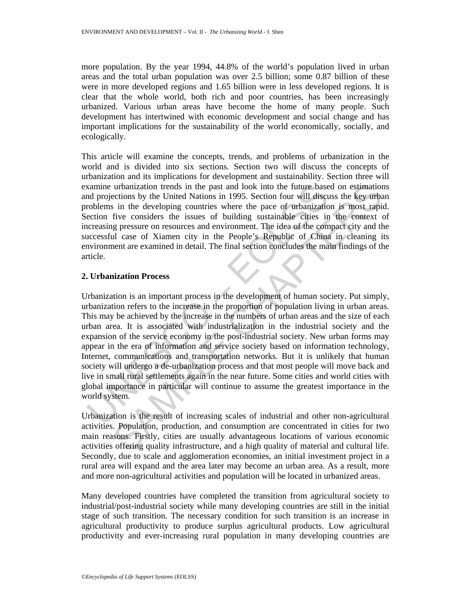more population. By the year 1994, 44.8% of the world's population lived in urban areas and the total urban population was over 2.5 billion; some 0.87 billion of these were in more developed regions and 1.65 billion were in less developed regions. It is clear that the whole world, both rich and poor countries, has been increasingly urbanized. Various urban areas have become the home of many people. Such development has intertwined with economic development and social change and has important implications for the sustainability of the world economically, socially, and ecologically.

This article will examine the concepts, trends, and problems of urbanization in the world and is divided into six sections. Section two will discuss the concepts of urbanization and its implications for development and sustainability. Section three will examine urbanization trends in the past and look into the future based on estimations and projections by the United Nations in 1995. Section four will discuss the key urban problems in the developing countries where the pace of urbanization is most rapid. Section five considers the issues of building sustainable cities in the context of increasing pressure on resources and environment. The idea of the compact city and the successful case of Xiamen city in the People's Republic of China in cleaning its environment are examined in detail. The final section concludes the main findings of the article.

# **2. Urbanization Process**

xamine urbanization trends in the past and look into the future base<br>and projections by the United Nations in 1995. Section four will discrete<br>corollems in the developing countries where the pace of urbanization<br>cection fi urbanization trends in the past and look into the future-based on estimation<br>critions by the United Nations in 1995. Section four will discuss the key urban<br>five considers the interest of building sustainable cities in the Urbanization is an important process in the development of human society. Put simply, urbanization refers to the increase in the proportion of population living in urban areas. This may be achieved by the increase in the numbers of urban areas and the size of each urban area. It is associated with industrialization in the industrial society and the expansion of the service economy in the post-industrial society. New urban forms may appear in the era of information and service society based on information technology, Internet, communications and transportation networks. But it is unlikely that human society will undergo a de-urbanization process and that most people will move back and live in small rural settlements again in the near future. Some cities and world cities with global importance in particular will continue to assume the greatest importance in the world system.

Urbanization is the result of increasing scales of industrial and other non-agricultural activities. Population, production, and consumption are concentrated in cities for two main reasons. Firstly, cities are usually advantageous locations of various economic activities offering quality infrastructure, and a high quality of material and cultural life. Secondly, due to scale and agglomeration economies, an initial investment project in a rural area will expand and the area later may become an urban area. As a result, more and more non-agricultural activities and population will be located in urbanized areas.

Many developed countries have completed the transition from agricultural society to industrial/post-industrial society while many developing countries are still in the initial stage of such transition. The necessary condition for such transition is an increase in agricultural productivity to produce surplus agricultural products. Low agricultural productivity and ever-increasing rural population in many developing countries are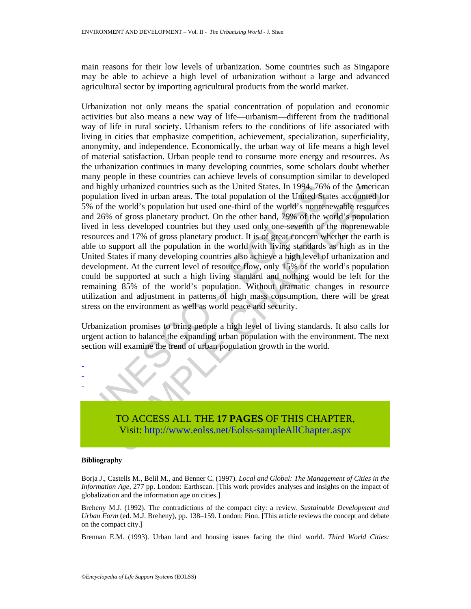main reasons for their low levels of urbanization. Some countries such as Singapore may be able to achieve a high level of urbanization without a large and advanced agricultural sector by importing agricultural products from the world market.

nd highly urbanized countries such as the United States. In 1994, 76%<br>population lived in urban areas. The total population of the United States<br>we of the world's population but used one-third of the world's nomen<br>do 26% o It purchanized countries such as the United States. In 1994, 76% of the America<br>no lived in urban area. The total population of the United States accounted for<br>e world's reputation but used one-third of the world's nonenew Urbanization not only means the spatial concentration of population and economic activities but also means a new way of life—urbanism—different from the traditional way of life in rural society. Urbanism refers to the conditions of life associated with living in cities that emphasize competition, achievement, specialization, superficiality, anonymity, and independence. Economically, the urban way of life means a high level of material satisfaction. Urban people tend to consume more energy and resources. As the urbanization continues in many developing countries, some scholars doubt whether many people in these countries can achieve levels of consumption similar to developed and highly urbanized countries such as the United States. In 1994, 76% of the American population lived in urban areas. The total population of the United States accounted for 5% of the world's population but used one-third of the world's nonrenewable resources and 26% of gross planetary product. On the other hand, 79% of the world's population lived in less developed countries but they used only one-seventh of the nonrenewable resources and 17% of gross planetary product. It is of great concern whether the earth is able to support all the population in the world with living standards as high as in the United States if many developing countries also achieve a high level of urbanization and development. At the current level of resource flow, only 15% of the world's population could be supported at such a high living standard and nothing would be left for the remaining 85% of the world's population. Without dramatic changes in resource utilization and adjustment in patterns of high mass consumption, there will be great stress on the environment as well as world peace and security.

Urbanization promises to bring people a high level of living standards. It also calls for urgent action to balance the expanding urban population with the environment. The next section will examine the trend of urban population growth in the world.



TO ACCESS ALL THE **17 PAGES** OF THIS CHAPTER, Visit: http://www.eolss.net/Eolss-sampleAllChapter.aspx

### **Bibliography**

Borja J., Castells M., Belil M., and Benner C. (1997). *Local and Global: The Management of Cities in the Information Age*, 277 pp. London: Earthscan. [This work provides analyses and insights on the impact of globalization and the information age on cities.]

Breheny M.J. (1992). The contradictions of the compact city: a review. *Sustainable Development and Urban Form* (ed. M.J. Breheny), pp. 138–159. London: Pion. [This article reviews the concept and debate on the compact city.]

Brennan E.M. (1993). Urban land and housing issues facing the third world. *Third World Cities:*